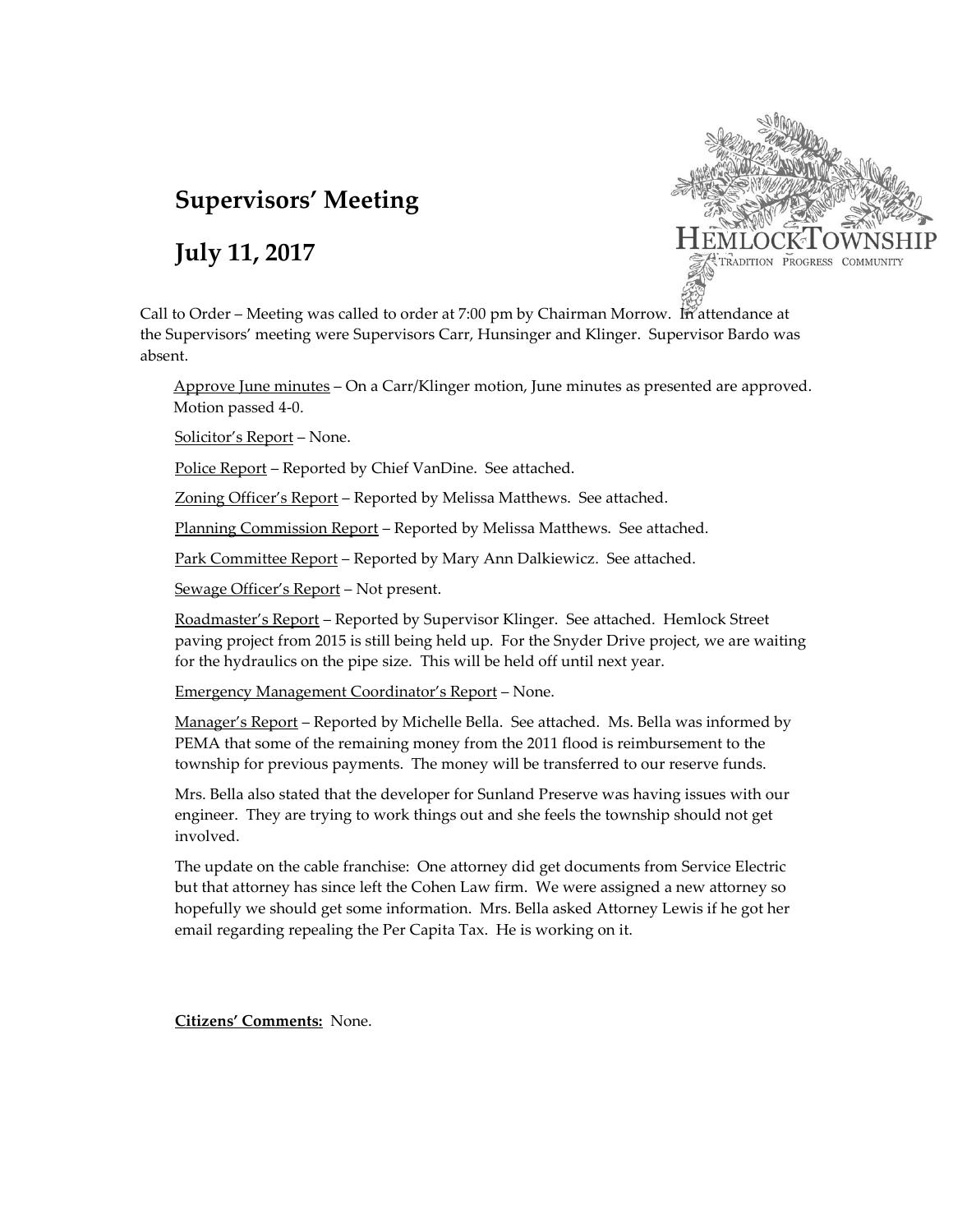# **Supervisors' Meeting**

## **July 11, 2017**



Call to Order – Meeting was called to order at 7:00 pm by Chairman Morrow. In attendance at the Supervisors' meeting were Supervisors Carr, Hunsinger and Klinger. Supervisor Bardo was absent.

Approve June minutes – On a Carr/Klinger motion, June minutes as presented are approved. Motion passed 4-0.

Solicitor's Report – None.

Police Report – Reported by Chief VanDine. See attached.

Zoning Officer's Report – Reported by Melissa Matthews. See attached.

Planning Commission Report - Reported by Melissa Matthews. See attached.

Park Committee Report – Reported by Mary Ann Dalkiewicz. See attached.

Sewage Officer's Report – Not present.

Roadmaster's Report – Reported by Supervisor Klinger. See attached. Hemlock Street paving project from 2015 is still being held up. For the Snyder Drive project, we are waiting for the hydraulics on the pipe size. This will be held off until next year.

Emergency Management Coordinator's Report – None.

Manager's Report – Reported by Michelle Bella. See attached. Ms. Bella was informed by PEMA that some of the remaining money from the 2011 flood is reimbursement to the township for previous payments. The money will be transferred to our reserve funds.

Mrs. Bella also stated that the developer for Sunland Preserve was having issues with our engineer. They are trying to work things out and she feels the township should not get involved.

The update on the cable franchise: One attorney did get documents from Service Electric but that attorney has since left the Cohen Law firm. We were assigned a new attorney so hopefully we should get some information. Mrs. Bella asked Attorney Lewis if he got her email regarding repealing the Per Capita Tax. He is working on it.

**Citizens' Comments:** None.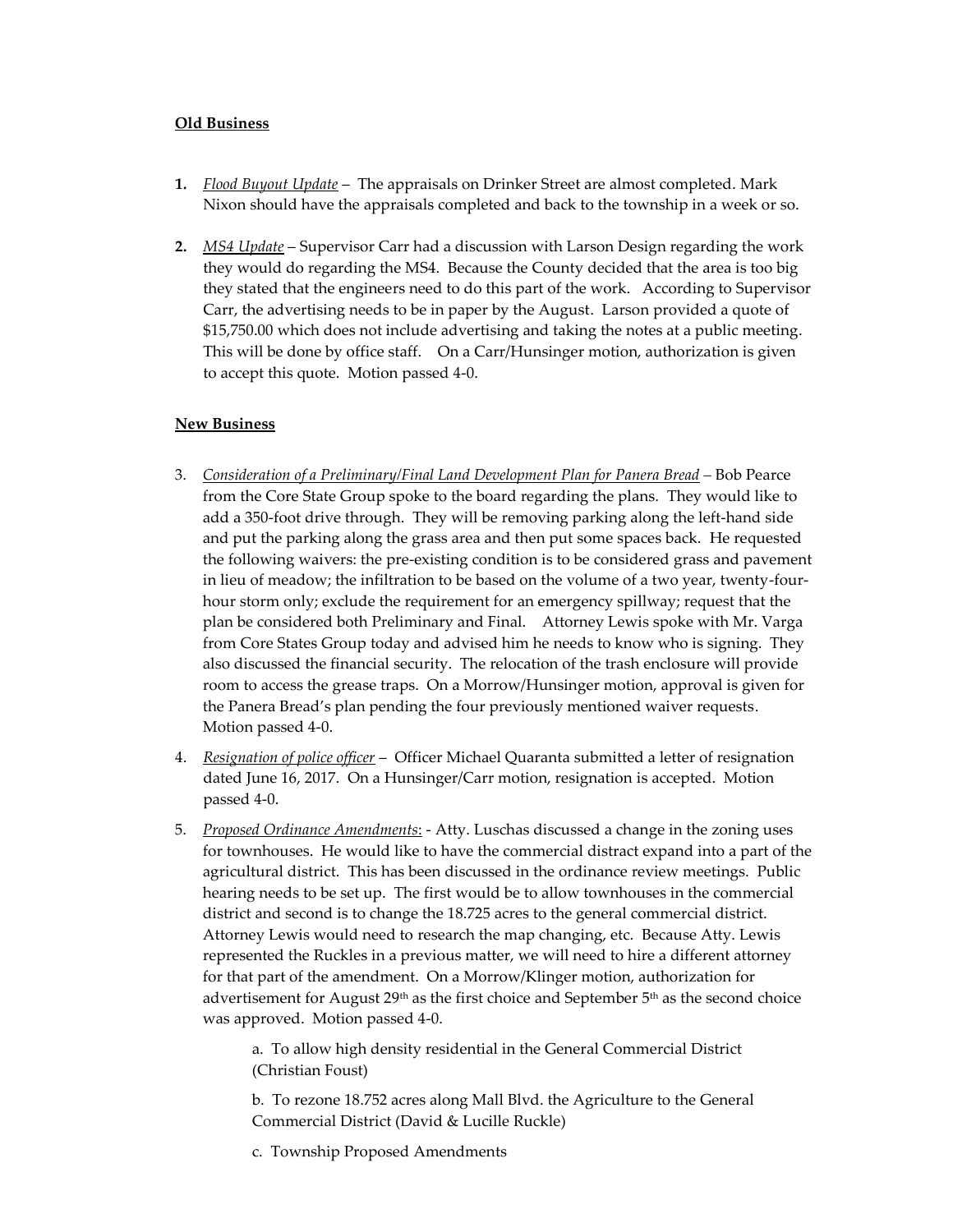#### **Old Business**

- **1.** *Flood Buyout Update* The appraisals on Drinker Street are almost completed. Mark Nixon should have the appraisals completed and back to the township in a week or so.
- **2.** *MS4 Update* Supervisor Carr had a discussion with Larson Design regarding the work they would do regarding the MS4. Because the County decided that the area is too big they stated that the engineers need to do this part of the work. According to Supervisor Carr, the advertising needs to be in paper by the August. Larson provided a quote of \$15,750.00 which does not include advertising and taking the notes at a public meeting. This will be done by office staff. On a Carr/Hunsinger motion, authorization is given to accept this quote. Motion passed 4-0.

#### **New Business**

- 3. *Consideration of a Preliminary/Final Land Development Plan for Panera Bread –* Bob Pearce from the Core State Group spoke to the board regarding the plans. They would like to add a 350-foot drive through. They will be removing parking along the left-hand side and put the parking along the grass area and then put some spaces back. He requested the following waivers: the pre-existing condition is to be considered grass and pavement in lieu of meadow; the infiltration to be based on the volume of a two year, twenty-fourhour storm only; exclude the requirement for an emergency spillway; request that the plan be considered both Preliminary and Final. Attorney Lewis spoke with Mr. Varga from Core States Group today and advised him he needs to know who is signing. They also discussed the financial security. The relocation of the trash enclosure will provide room to access the grease traps. On a Morrow/Hunsinger motion, approval is given for the Panera Bread's plan pending the four previously mentioned waiver requests. Motion passed 4-0.
- 4. *Resignation of police officer* Officer Michael Quaranta submitted a letter of resignation dated June 16, 2017. On a Hunsinger/Carr motion, resignation is accepted. Motion passed 4-0.
- 5. *Proposed Ordinance Amendments*: Atty. Luschas discussed a change in the zoning uses for townhouses. He would like to have the commercial distract expand into a part of the agricultural district. This has been discussed in the ordinance review meetings. Public hearing needs to be set up. The first would be to allow townhouses in the commercial district and second is to change the 18.725 acres to the general commercial district. Attorney Lewis would need to research the map changing, etc. Because Atty. Lewis represented the Ruckles in a previous matter, we will need to hire a different attorney for that part of the amendment. On a Morrow/Klinger motion, authorization for advertisement for August  $29th$  as the first choice and September  $5th$  as the second choice was approved. Motion passed 4-0.

a. To allow high density residential in the General Commercial District (Christian Foust)

b. To rezone 18.752 acres along Mall Blvd. the Agriculture to the General Commercial District (David & Lucille Ruckle)

c. Township Proposed Amendments